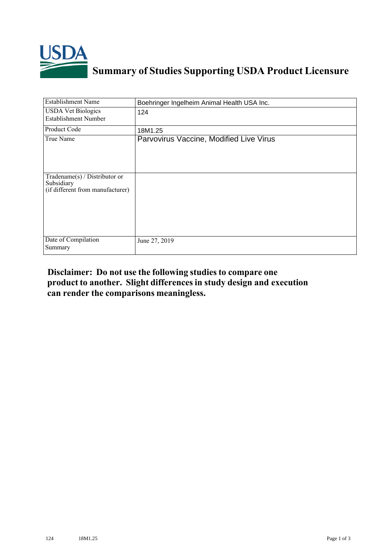

## **Summary of Studies Supporting USDA Product Licensure**

| <b>Establishment Name</b>                                                          | Boehringer Ingelheim Animal Health USA Inc. |
|------------------------------------------------------------------------------------|---------------------------------------------|
| <b>USDA Vet Biologics</b><br><b>Establishment Number</b>                           | 124                                         |
| Product Code                                                                       | 18M1.25                                     |
| True Name                                                                          | Parvovirus Vaccine, Modified Live Virus     |
| Tradename $(s)$ / Distributor or<br>Subsidiary<br>(if different from manufacturer) |                                             |
| Date of Compilation<br>Summary                                                     | June 27, 2019                               |

## **Disclaimer: Do not use the following studiesto compare one product to another. Slight differencesin study design and execution can render the comparisons meaningless.**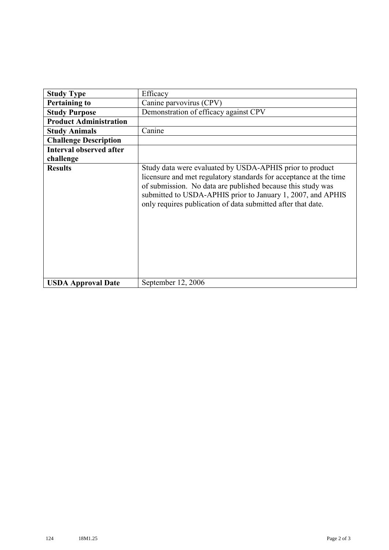| <b>Study Type</b>              | Efficacy                                                                                                                                                                                                                                                                                                                    |
|--------------------------------|-----------------------------------------------------------------------------------------------------------------------------------------------------------------------------------------------------------------------------------------------------------------------------------------------------------------------------|
| <b>Pertaining to</b>           | Canine parvovirus (CPV)                                                                                                                                                                                                                                                                                                     |
| <b>Study Purpose</b>           | Demonstration of efficacy against CPV                                                                                                                                                                                                                                                                                       |
| <b>Product Administration</b>  |                                                                                                                                                                                                                                                                                                                             |
| <b>Study Animals</b>           | Canine                                                                                                                                                                                                                                                                                                                      |
| <b>Challenge Description</b>   |                                                                                                                                                                                                                                                                                                                             |
| <b>Interval observed after</b> |                                                                                                                                                                                                                                                                                                                             |
| challenge                      |                                                                                                                                                                                                                                                                                                                             |
| <b>Results</b>                 | Study data were evaluated by USDA-APHIS prior to product<br>licensure and met regulatory standards for acceptance at the time<br>of submission. No data are published because this study was<br>submitted to USDA-APHIS prior to January 1, 2007, and APHIS<br>only requires publication of data submitted after that date. |
| <b>USDA Approval Date</b>      | September 12, 2006                                                                                                                                                                                                                                                                                                          |